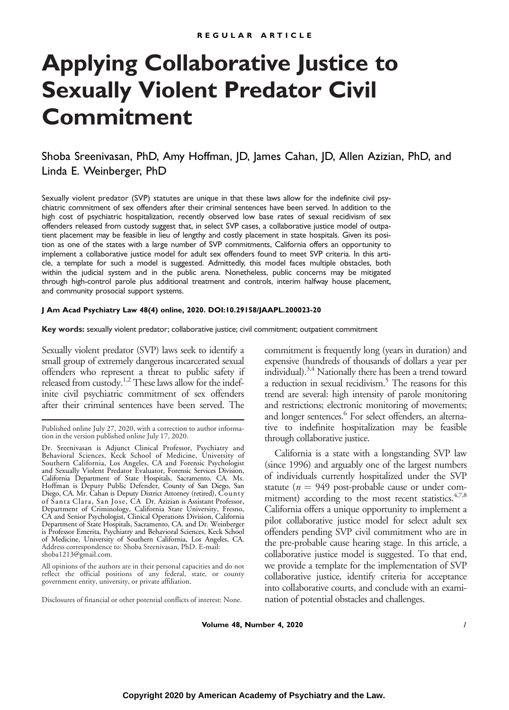# **Applying Collaborative Justice to Sexually Violent Predator Civil Commitment**

# Shoba Sreenivasan, PhD, Amy Hoffman, JD, James Cahan, JD, Allen Azizian, PhD, and Linda E. Weinberger, PhD

Sexually violent predator (SVP) statutes are unique in that these laws allow for the indefinite civil psychiatric commitment of sex offenders after their criminal sentences have been served. In addition to the high cost of psychiatric hospitalization, recently observed low base rates of sexual recidivism of sex offenders released from custody suggest that, in select SVP cases, a collaborative justice model of outpatient placement may be feasible in lieu of lengthy and costly placement in state hospitals. Given its position as one of the states with a large number of SVP commitments, California offers an opportunity to implement a collaborative justice model for adult sex offenders found to meet SVP criteria. In this article, a template for such a model is suggested. Admittedly, this model faces multiple obstacles, both within the judicial system and in the public arena. Nonetheless, public concerns may be mitigated through high-control parole plus additional treatment and controls, interim halfway house placement, and community prosocial support systems.

#### **J Am Acad Psychiatry Law 48(4) online, 2020. DOI:10.29158/JAAPL.200023-20**

**Key words:** sexually violent predator; collaborative justice; civil commitment; outpatient commitment

Sexually violent predator (SVP) laws seek to identify a small group of extremely dangerous incarcerated sexual offenders who represent a threat to public safety if released from custody.<sup>1,2</sup> These laws allow for the indefinite civil psychiatric commitment of sex offenders after their criminal sentences have been served. The

All opinions of the authors are in their personal capacities and do not reflect the official positions of any federal, state, or county government entity, university, or private affiliation.

Disclosures of financial or other potential conflicts of interest: None.

commitment is frequently long (years in duration) and expensive (hundreds of thousands of dollars a year per individual).<sup>3,4</sup> Nationally there has been a trend toward a reduction in sexual recidivism.<sup>5</sup> The reasons for this trend are several: high intensity of parole monitoring and restrictions; electronic monitoring of movements; and longer sentences.<sup>6</sup> For select offenders, an alternative to indefinite hospitalization may be feasible through collaborative justice.

California is a state with a longstanding SVP law (since 1996) and arguably one of the largest numbers of individuals currently hospitalized under the SVP statute ( $n = 949$  post-probable cause or under commitment) according to the most recent statistics. $4,7,8$ California offers a unique opportunity to implement a pilot collaborative justice model for select adult sex offenders pending SVP civil commitment who are in the pre-probable cause hearing stage. In this article, a collaborative justice model is suggested. To that end, we provide a template for the implementation of SVP collaborative justice, identify criteria for acceptance into collaborative courts, and conclude with an examination of potential obstacles and challenges.

**Volume 48, Number 4, 2020** 1

Published online July 27, 2020, with a correction to author information in the version published online July 17, 2020.

Dr. Sreenivasan is Adjunct Clinical Professor, Psychiatry and Behavioral Sciences, Keck School of Medicine, University of Southern California, Los Angeles, CA and Forensic Psychologist and Sexually Violent Predator Evaluator, Forensic Services Division, California Department of State Hospitals, Sacramento, CA. Ms. Hoffman is Deputy Public Defender, County of San Diego, San Diego, CA. Mr. Cahan is Deputy District Attorney (retired), Coun ty of Santa Clara, San Jose, CA Dr. Azizian is Assistant Professor, Department of Criminology, California State University, Fresno, CA and Senior Psychologist, Clinical Operations Division, California Department of State Hospitals, Sacramento, CA. and Dr. Weinberger is Professor Emerita, Psychiatry and Behavioral Sciences, Keck School of Medicine, University of Southern California, Los Angeles, CA. Address correspondence to: Shoba Sreenivasan, PhD. E-mail: [shoba1213@gmail.com](mailto:shoba1213@gmail.com).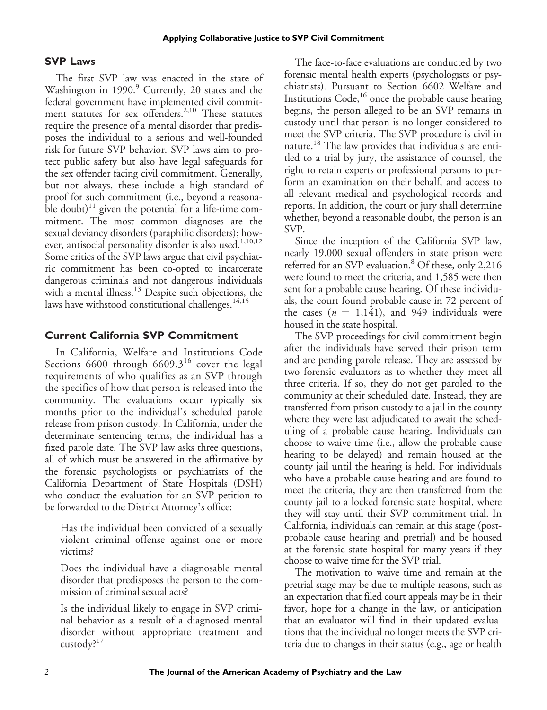#### **SVP Laws**

The first SVP law was enacted in the state of Washington in 1990.<sup>9</sup> Currently, 20 states and the federal government have implemented civil commitment statutes for sex offenders.<sup>2,10</sup> These statutes require the presence of a mental disorder that predisposes the individual to a serious and well-founded risk for future SVP behavior. SVP laws aim to protect public safety but also have legal safeguards for the sex offender facing civil commitment. Generally, but not always, these include a high standard of proof for such commitment (i.e., beyond a reasonable doubt)<sup>11</sup> given the potential for a life-time commitment. The most common diagnoses are the sexual deviancy disorders (paraphilic disorders); however, antisocial personality disorder is also used.<sup>1,10,12</sup> Some critics of the SVP laws argue that civil psychiatric commitment has been co-opted to incarcerate dangerous criminals and not dangerous individuals with a mental illness.<sup>13</sup> Despite such objections, the laws have withstood constitutional challenges.<sup>14,15</sup>

#### **Current California SVP Commitment**

In California, Welfare and Institutions Code Sections 6600 through  $6609.3^{16}$  cover the legal requirements of who qualifies as an SVP through the specifics of how that person is released into the community. The evaluations occur typically six months prior to the individual's scheduled parole release from prison custody. In California, under the determinate sentencing terms, the individual has a fixed parole date. The SVP law asks three questions, all of which must be answered in the affirmative by the forensic psychologists or psychiatrists of the California Department of State Hospitals (DSH) who conduct the evaluation for an SVP petition to be forwarded to the District Attorney's office:

Has the individual been convicted of a sexually violent criminal offense against one or more victims?

Does the individual have a diagnosable mental disorder that predisposes the person to the commission of criminal sexual acts?

Is the individual likely to engage in SVP criminal behavior as a result of a diagnosed mental disorder without appropriate treatment and custody?<sup>17</sup>

The face-to-face evaluations are conducted by two forensic mental health experts (psychologists or psychiatrists). Pursuant to Section 6602 Welfare and Institutions Code,<sup>16</sup> once the probable cause hearing begins, the person alleged to be an SVP remains in custody until that person is no longer considered to meet the SVP criteria. The SVP procedure is civil in nature.18 The law provides that individuals are entitled to a trial by jury, the assistance of counsel, the right to retain experts or professional persons to perform an examination on their behalf, and access to all relevant medical and psychological records and reports. In addition, the court or jury shall determine whether, beyond a reasonable doubt, the person is an SVP.

Since the inception of the California SVP law, nearly 19,000 sexual offenders in state prison were referred for an SVP evaluation.<sup>8</sup> Of these, only 2,216 were found to meet the criteria, and 1,585 were then sent for a probable cause hearing. Of these individuals, the court found probable cause in 72 percent of the cases  $(n = 1,141)$ , and 949 individuals were housed in the state hospital.

The SVP proceedings for civil commitment begin after the individuals have served their prison term and are pending parole release. They are assessed by two forensic evaluators as to whether they meet all three criteria. If so, they do not get paroled to the community at their scheduled date. Instead, they are transferred from prison custody to a jail in the county where they were last adjudicated to await the scheduling of a probable cause hearing. Individuals can choose to waive time (i.e., allow the probable cause hearing to be delayed) and remain housed at the county jail until the hearing is held. For individuals who have a probable cause hearing and are found to meet the criteria, they are then transferred from the county jail to a locked forensic state hospital, where they will stay until their SVP commitment trial. In California, individuals can remain at this stage (postprobable cause hearing and pretrial) and be housed at the forensic state hospital for many years if they choose to waive time for the SVP trial.

The motivation to waive time and remain at the pretrial stage may be due to multiple reasons, such as an expectation that filed court appeals may be in their favor, hope for a change in the law, or anticipation that an evaluator will find in their updated evaluations that the individual no longer meets the SVP criteria due to changes in their status (e.g., age or health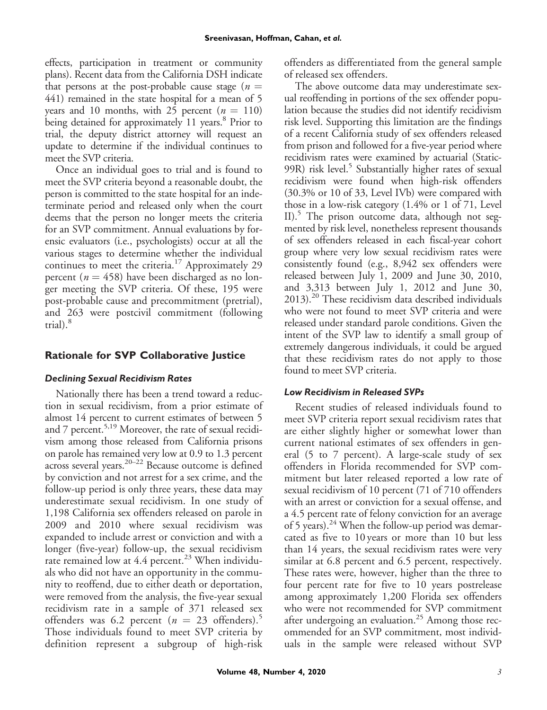effects, participation in treatment or community plans). Recent data from the California DSH indicate that persons at the post-probable cause stage ( $n =$ 441) remained in the state hospital for a mean of 5 years and 10 months, with 25 percent  $(n = 110)$ being detained for approximately 11 years.<sup>8</sup> Prior to trial, the deputy district attorney will request an update to determine if the individual continues to meet the SVP criteria.

Once an individual goes to trial and is found to meet the SVP criteria beyond a reasonable doubt, the person is committed to the state hospital for an indeterminate period and released only when the court deems that the person no longer meets the criteria for an SVP commitment. Annual evaluations by forensic evaluators (i.e., psychologists) occur at all the various stages to determine whether the individual continues to meet the criteria.<sup>17</sup> Approximately 29 percent ( $n = 458$ ) have been discharged as no longer meeting the SVP criteria. Of these, 195 were post-probable cause and precommitment (pretrial), and 263 were postcivil commitment (following  $trial$ ). $8$ 

## **Rationale for SVP Collaborative Justice**

#### *Declining Sexual Recidivism Rates*

Nationally there has been a trend toward a reduction in sexual recidivism, from a prior estimate of almost 14 percent to current estimates of between 5 and 7 percent.<sup>5,19</sup> Moreover, the rate of sexual recidivism among those released from California prisons on parole has remained very low at 0.9 to 1.3 percent across several years.20–<sup>22</sup> Because outcome is defined by conviction and not arrest for a sex crime, and the follow-up period is only three years, these data may underestimate sexual recidivism. In one study of 1,198 California sex offenders released on parole in 2009 and 2010 where sexual recidivism was expanded to include arrest or conviction and with a longer (five-year) follow-up, the sexual recidivism rate remained low at 4.4 percent.<sup>23</sup> When individuals who did not have an opportunity in the community to reoffend, due to either death or deportation, were removed from the analysis, the five-year sexual recidivism rate in a sample of 371 released sex offenders was 6.2 percent ( $n = 23$  offenders).<sup>5</sup> Those individuals found to meet SVP criteria by definition represent a subgroup of high-risk offenders as differentiated from the general sample of released sex offenders.

The above outcome data may underestimate sexual reoffending in portions of the sex offender population because the studies did not identify recidivism risk level. Supporting this limitation are the findings of a recent California study of sex offenders released from prison and followed for a five-year period where recidivism rates were examined by actuarial (Static-99R) risk level.<sup>5</sup> Substantially higher rates of sexual recidivism were found when high-risk offenders (30.3% or 10 of 33, Level IVb) were compared with those in a low-risk category (1.4% or 1 of 71, Level II).<sup>5</sup> The prison outcome data, although not segmented by risk level, nonetheless represent thousands of sex offenders released in each fiscal-year cohort group where very low sexual recidivism rates were consistently found (e.g., 8,942 sex offenders were released between July 1, 2009 and June 30, 2010, and 3,313 between July 1, 2012 and June 30, 2013).20 These recidivism data described individuals who were not found to meet SVP criteria and were released under standard parole conditions. Given the intent of the SVP law to identify a small group of extremely dangerous individuals, it could be argued that these recidivism rates do not apply to those found to meet SVP criteria.

#### *Low Recidivism in Released SVPs*

Recent studies of released individuals found to meet SVP criteria report sexual recidivism rates that are either slightly higher or somewhat lower than current national estimates of sex offenders in general (5 to 7 percent). A large-scale study of sex offenders in Florida recommended for SVP commitment but later released reported a low rate of sexual recidivism of 10 percent (71 of 710 offenders with an arrest or conviction for a sexual offense, and a 4.5 percent rate of felony conviction for an average of 5 years).<sup>24</sup> When the follow-up period was demarcated as five to 10 years or more than 10 but less than 14 years, the sexual recidivism rates were very similar at 6.8 percent and 6.5 percent, respectively. These rates were, however, higher than the three to four percent rate for five to 10 years postrelease among approximately 1,200 Florida sex offenders who were not recommended for SVP commitment after undergoing an evaluation.<sup>25</sup> Among those recommended for an SVP commitment, most individuals in the sample were released without SVP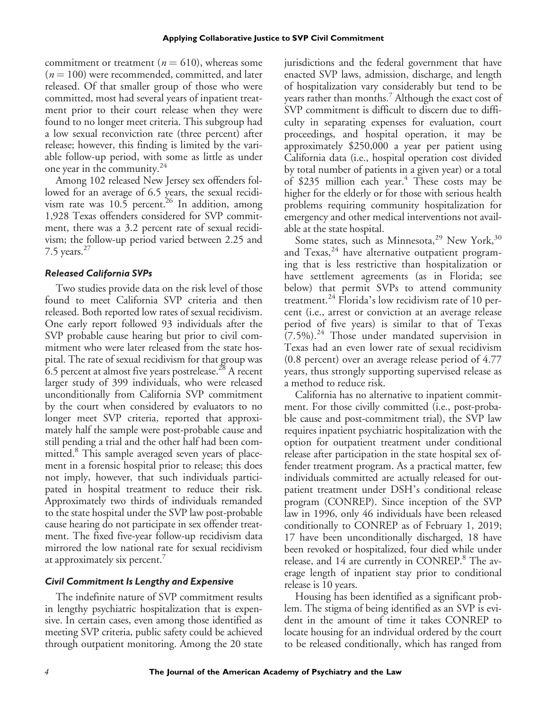commitment or treatment ( $n = 610$ ), whereas some  $(n = 100)$  were recommended, committed, and later released. Of that smaller group of those who were committed, most had several years of inpatient treatment prior to their court release when they were found to no longer meet criteria. This subgroup had a low sexual reconviction rate (three percent) after release; however, this finding is limited by the variable follow-up period, with some as little as under one year in the community.24

Among 102 released New Jersey sex offenders followed for an average of 6.5 years, the sexual recidivism rate was  $10.\overline{5}$  percent.<sup>26</sup> In addition, among 1,928 Texas offenders considered for SVP commitment, there was a 3.2 percent rate of sexual recidivism; the follow-up period varied between 2.25 and 7.5 years. $27$ 

#### *Released California SVPs*

Two studies provide data on the risk level of those found to meet California SVP criteria and then released. Both reported low rates of sexual recidivism. One early report followed 93 individuals after the SVP probable cause hearing but prior to civil commitment who were later released from the state hospital. The rate of sexual recidivism for that group was 6.5 percent at almost five years postrelease.<sup>28</sup> A recent larger study of 399 individuals, who were released unconditionally from California SVP commitment by the court when considered by evaluators to no longer meet SVP criteria, reported that approximately half the sample were post-probable cause and still pending a trial and the other half had been committed.<sup>8</sup> This sample averaged seven years of placement in a forensic hospital prior to release; this does not imply, however, that such individuals participated in hospital treatment to reduce their risk. Approximately two thirds of individuals remanded to the state hospital under the SVP law post-probable cause hearing do not participate in sex offender treatment. The fixed five-year follow-up recidivism data mirrored the low national rate for sexual recidivism at approximately six percent.<sup>7</sup>

#### *Civil Commitment Is Lengthy and Expensive*

The indefinite nature of SVP commitment results in lengthy psychiatric hospitalization that is expensive. In certain cases, even among those identified as meeting SVP criteria, public safety could be achieved through outpatient monitoring. Among the 20 state jurisdictions and the federal government that have enacted SVP laws, admission, discharge, and length of hospitalization vary considerably but tend to be years rather than months.<sup>7</sup> Although the exact cost of SVP commitment is difficult to discern due to difficulty in separating expenses for evaluation, court proceedings, and hospital operation, it may be approximately \$250,000 a year per patient using California data (i.e., hospital operation cost divided by total number of patients in a given year) or a total of \$235 million each year. $4$  These costs may be higher for the elderly or for those with serious health problems requiring community hospitalization for emergency and other medical interventions not available at the state hospital.

Some states, such as Minnesota,<sup>29</sup> New York,<sup>30</sup> and Texas, $^{24}$  have alternative outpatient programing that is less restrictive than hospitalization or have settlement agreements (as in Florida; see below) that permit SVPs to attend community treatment.<sup>24</sup> Florida's low recidivism rate of 10 percent (i.e., arrest or conviction at an average release period of five years) is similar to that of Texas  $(7.5\%)$ .<sup>24</sup> Those under mandated supervision in Texas had an even lower rate of sexual recidivism (0.8 percent) over an average release period of 4.77 years, thus strongly supporting supervised release as a method to reduce risk.

California has no alternative to inpatient commitment. For those civilly committed (i.e., post-probable cause and post-commitment trial), the SVP law requires inpatient psychiatric hospitalization with the option for outpatient treatment under conditional release after participation in the state hospital sex offender treatment program. As a practical matter, few individuals committed are actually released for outpatient treatment under DSH's conditional release program (CONREP). Since inception of the SVP law in 1996, only 46 individuals have been released conditionally to CONREP as of February 1, 2019; 17 have been unconditionally discharged, 18 have been revoked or hospitalized, four died while under release, and 14 are currently in CONREP.<sup>8</sup> The average length of inpatient stay prior to conditional release is 10 years.

Housing has been identified as a significant problem. The stigma of being identified as an SVP is evident in the amount of time it takes CONREP to locate housing for an individual ordered by the court to be released conditionally, which has ranged from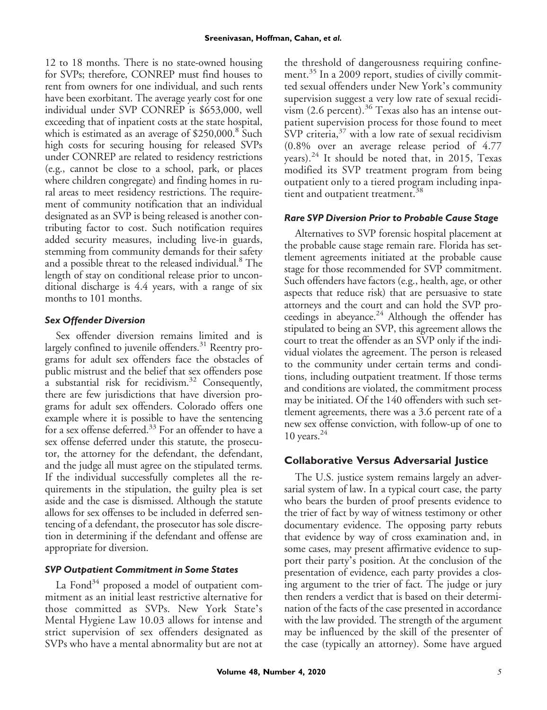12 to 18 months. There is no state-owned housing for SVPs; therefore, CONREP must find houses to rent from owners for one individual, and such rents have been exorbitant. The average yearly cost for one individual under SVP CONREP is \$653,000, well exceeding that of inpatient costs at the state hospital, which is estimated as an average of \$250,000.<sup>8</sup> Such high costs for securing housing for released SVPs under CONREP are related to residency restrictions (e.g., cannot be close to a school, park, or places where children congregate) and finding homes in rural areas to meet residency restrictions. The requirement of community notification that an individual designated as an SVP is being released is another contributing factor to cost. Such notification requires added security measures, including live-in guards, stemming from community demands for their safety and a possible threat to the released individual.<sup>8</sup> The length of stay on conditional release prior to unconditional discharge is 4.4 years, with a range of six months to 101 months.

## *Sex Offender Diversion*

Sex offender diversion remains limited and is largely confined to juvenile offenders.<sup>31</sup> Reentry programs for adult sex offenders face the obstacles of public mistrust and the belief that sex offenders pose a substantial risk for recidivism.32 Consequently, there are few jurisdictions that have diversion programs for adult sex offenders. Colorado offers one example where it is possible to have the sentencing for a sex offense deferred.<sup>33</sup> For an offender to have a sex offense deferred under this statute, the prosecutor, the attorney for the defendant, the defendant, and the judge all must agree on the stipulated terms. If the individual successfully completes all the requirements in the stipulation, the guilty plea is set aside and the case is dismissed. Although the statute allows for sex offenses to be included in deferred sentencing of a defendant, the prosecutor has sole discretion in determining if the defendant and offense are appropriate for diversion.

#### *SVP Outpatient Commitment in Some States*

La Fond $34$  proposed a model of outpatient commitment as an initial least restrictive alternative for those committed as SVPs. New York State's Mental Hygiene Law 10.03 allows for intense and strict supervision of sex offenders designated as SVPs who have a mental abnormality but are not at the threshold of dangerousness requiring confinement.<sup>35</sup> In a 2009 report, studies of civilly committed sexual offenders under New York's community supervision suggest a very low rate of sexual recidivism  $(2.6 \text{ percent})$ .<sup>36</sup> Texas also has an intense outpatient supervision process for those found to meet  $SVP$  criteria, $37$  with a low rate of sexual recidivism (0.8% over an average release period of 4.77 years). $^{24}$  It should be noted that, in 2015, Texas modified its SVP treatment program from being outpatient only to a tiered program including inpatient and outpatient treatment.<sup>38</sup>

## *Rare SVP Diversion Prior to Probable Cause Stage*

Alternatives to SVP forensic hospital placement at the probable cause stage remain rare. Florida has settlement agreements initiated at the probable cause stage for those recommended for SVP commitment. Such offenders have factors (e.g., health, age, or other aspects that reduce risk) that are persuasive to state attorneys and the court and can hold the SVP proceedings in abeyance.<sup>24</sup> Although the offender has stipulated to being an SVP, this agreement allows the court to treat the offender as an SVP only if the individual violates the agreement. The person is released to the community under certain terms and conditions, including outpatient treatment. If those terms and conditions are violated, the commitment process may be initiated. Of the 140 offenders with such settlement agreements, there was a 3.6 percent rate of a new sex offense conviction, with follow-up of one to 10 years. $^{24}$ 

## **Collaborative Versus Adversarial Justice**

The U.S. justice system remains largely an adversarial system of law. In a typical court case, the party who bears the burden of proof presents evidence to the trier of fact by way of witness testimony or other documentary evidence. The opposing party rebuts that evidence by way of cross examination and, in some cases, may present affirmative evidence to support their party's position. At the conclusion of the presentation of evidence, each party provides a closing argument to the trier of fact. The judge or jury then renders a verdict that is based on their determination of the facts of the case presented in accordance with the law provided. The strength of the argument may be influenced by the skill of the presenter of the case (typically an attorney). Some have argued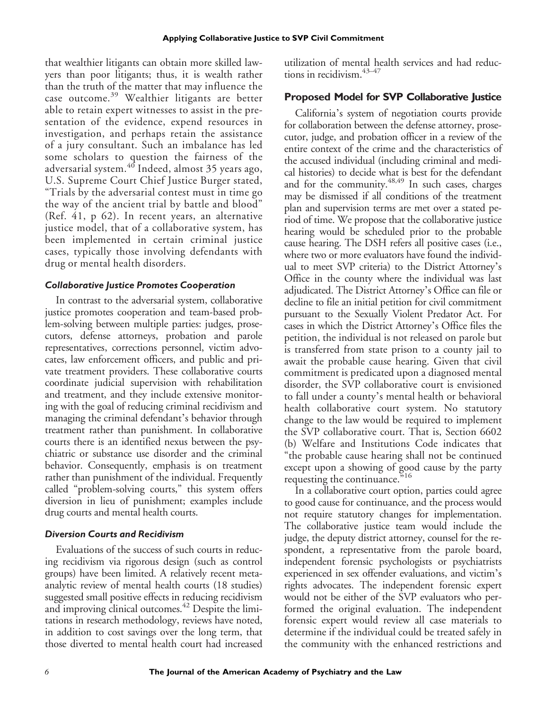that wealthier litigants can obtain more skilled lawyers than poor litigants; thus, it is wealth rather than the truth of the matter that may influence the case outcome.<sup>39</sup> Wealthier litigants are better able to retain expert witnesses to assist in the presentation of the evidence, expend resources in investigation, and perhaps retain the assistance of a jury consultant. Such an imbalance has led some scholars to question the fairness of the adversarial system.<sup>40</sup> Indeed, almost 35 years ago, U.S. Supreme Court Chief Justice Burger stated, "Trials by the adversarial contest must in time go the way of the ancient trial by battle and blood" (Ref. 41, p 62). In recent years, an alternative justice model, that of a collaborative system, has been implemented in certain criminal justice cases, typically those involving defendants with drug or mental health disorders.

#### *Collaborative Justice Promotes Cooperation*

In contrast to the adversarial system, collaborative justice promotes cooperation and team-based problem-solving between multiple parties: judges, prosecutors, defense attorneys, probation and parole representatives, corrections personnel, victim advocates, law enforcement officers, and public and private treatment providers. These collaborative courts coordinate judicial supervision with rehabilitation and treatment, and they include extensive monitoring with the goal of reducing criminal recidivism and managing the criminal defendant's behavior through treatment rather than punishment. In collaborative courts there is an identified nexus between the psychiatric or substance use disorder and the criminal behavior. Consequently, emphasis is on treatment rather than punishment of the individual. Frequently called "problem-solving courts," this system offers diversion in lieu of punishment; examples include drug courts and mental health courts.

#### *Diversion Courts and Recidivism*

Evaluations of the success of such courts in reducing recidivism via rigorous design (such as control groups) have been limited. A relatively recent metaanalytic review of mental health courts (18 studies) suggested small positive effects in reducing recidivism and improving clinical outcomes.<sup>42</sup> Despite the limitations in research methodology, reviews have noted, in addition to cost savings over the long term, that those diverted to mental health court had increased

utilization of mental health services and had reductions in recidivism.  $43-47$ 

## **Proposed Model for SVP Collaborative Justice**

California's system of negotiation courts provide for collaboration between the defense attorney, prosecutor, judge, and probation officer in a review of the entire context of the crime and the characteristics of the accused individual (including criminal and medical histories) to decide what is best for the defendant and for the community.<sup>48,49</sup> In such cases, charges may be dismissed if all conditions of the treatment plan and supervision terms are met over a stated period of time. We propose that the collaborative justice hearing would be scheduled prior to the probable cause hearing. The DSH refers all positive cases (i.e., where two or more evaluators have found the individual to meet SVP criteria) to the District Attorney's Office in the county where the individual was last adjudicated. The District Attorney's Office can file or decline to file an initial petition for civil commitment pursuant to the Sexually Violent Predator Act. For cases in which the District Attorney's Office files the petition, the individual is not released on parole but is transferred from state prison to a county jail to await the probable cause hearing. Given that civil commitment is predicated upon a diagnosed mental disorder, the SVP collaborative court is envisioned to fall under a county's mental health or behavioral health collaborative court system. No statutory change to the law would be required to implement the SVP collaborative court. That is, Section 6602 (b) Welfare and Institutions Code indicates that "the probable cause hearing shall not be continued except upon a showing of good cause by the party requesting the continuance."<sup>16</sup>

In a collaborative court option, parties could agree to good cause for continuance, and the process would not require statutory changes for implementation. The collaborative justice team would include the judge, the deputy district attorney, counsel for the respondent, a representative from the parole board, independent forensic psychologists or psychiatrists experienced in sex offender evaluations, and victim's rights advocates. The independent forensic expert would not be either of the SVP evaluators who performed the original evaluation. The independent forensic expert would review all case materials to determine if the individual could be treated safely in the community with the enhanced restrictions and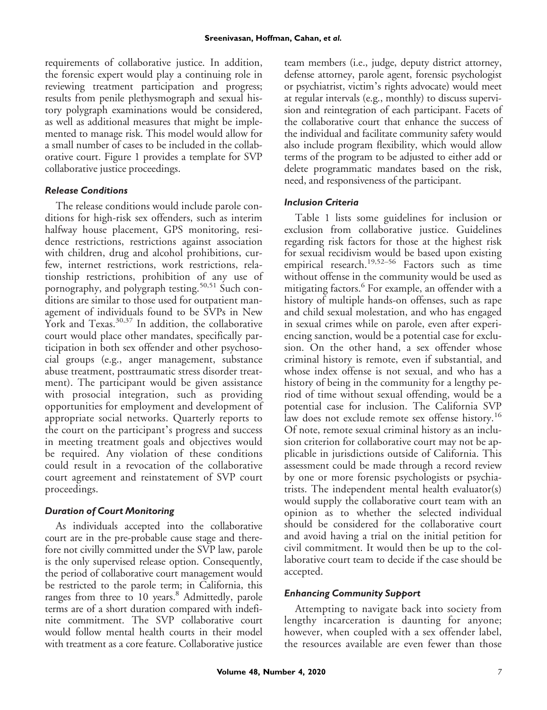requirements of collaborative justice. In addition, the forensic expert would play a continuing role in reviewing treatment participation and progress; results from penile plethysmograph and sexual history polygraph examinations would be considered, as well as additional measures that might be implemented to manage risk. This model would allow for a small number of cases to be included in the collaborative court. Figure 1 provides a template for SVP collaborative justice proceedings.

## *Release Conditions*

The release conditions would include parole conditions for high-risk sex offenders, such as interim halfway house placement, GPS monitoring, residence restrictions, restrictions against association with children, drug and alcohol prohibitions, curfew, internet restrictions, work restrictions, relationship restrictions, prohibition of any use of pornography, and polygraph testing.<sup>50,51</sup> Such conditions are similar to those used for outpatient management of individuals found to be SVPs in New York and Texas. $30,37$  In addition, the collaborative court would place other mandates, specifically participation in both sex offender and other psychosocial groups (e.g., anger management, substance abuse treatment, posttraumatic stress disorder treatment). The participant would be given assistance with prosocial integration, such as providing opportunities for employment and development of appropriate social networks. Quarterly reports to the court on the participant's progress and success in meeting treatment goals and objectives would be required. Any violation of these conditions could result in a revocation of the collaborative court agreement and reinstatement of SVP court proceedings.

## *Duration of Court Monitoring*

As individuals accepted into the collaborative court are in the pre-probable cause stage and therefore not civilly committed under the SVP law, parole is the only supervised release option. Consequently, the period of collaborative court management would be restricted to the parole term; in California, this ranges from three to 10 years.<sup>8</sup> Admittedly, parole terms are of a short duration compared with indefinite commitment. The SVP collaborative court would follow mental health courts in their model with treatment as a core feature. Collaborative justice team members (i.e., judge, deputy district attorney, defense attorney, parole agent, forensic psychologist or psychiatrist, victim's rights advocate) would meet at regular intervals (e.g., monthly) to discuss supervision and reintegration of each participant. Facets of the collaborative court that enhance the success of the individual and facilitate community safety would also include program flexibility, which would allow terms of the program to be adjusted to either add or delete programmatic mandates based on the risk, need, and responsiveness of the participant.

## *Inclusion Criteria*

Table 1 lists some guidelines for inclusion or exclusion from collaborative justice. Guidelines regarding risk factors for those at the highest risk for sexual recidivism would be based upon existing empirical research.<sup>19,52-56</sup> Factors such as time without offense in the community would be used as mitigating factors.<sup>6</sup> For example, an offender with a history of multiple hands-on offenses, such as rape and child sexual molestation, and who has engaged in sexual crimes while on parole, even after experiencing sanction, would be a potential case for exclusion. On the other hand, a sex offender whose criminal history is remote, even if substantial, and whose index offense is not sexual, and who has a history of being in the community for a lengthy period of time without sexual offending, would be a potential case for inclusion. The California SVP law does not exclude remote sex offense history.<sup>16</sup> Of note, remote sexual criminal history as an inclusion criterion for collaborative court may not be applicable in jurisdictions outside of California. This assessment could be made through a record review by one or more forensic psychologists or psychiatrists. The independent mental health evaluator(s) would supply the collaborative court team with an opinion as to whether the selected individual should be considered for the collaborative court and avoid having a trial on the initial petition for civil commitment. It would then be up to the collaborative court team to decide if the case should be accepted.

#### *Enhancing Community Support*

Attempting to navigate back into society from lengthy incarceration is daunting for anyone; however, when coupled with a sex offender label, the resources available are even fewer than those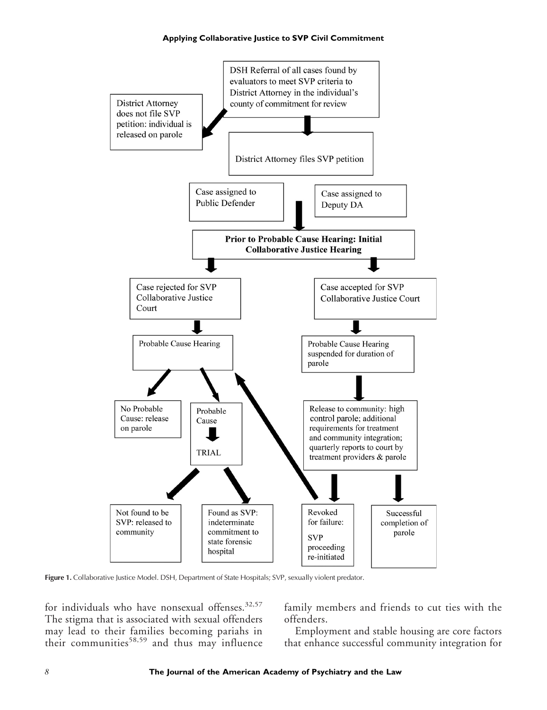

Figure 1. Collaborative Justice Model. DSH, Department of State Hospitals; SVP, sexually violent predator.

for individuals who have nonsexual offenses.<sup>32,57</sup> The stigma that is associated with sexual offenders may lead to their families becoming pariahs in their communities<sup>58,59</sup> and thus may influence

family members and friends to cut ties with the offenders.

Employment and stable housing are core factors that enhance successful community integration for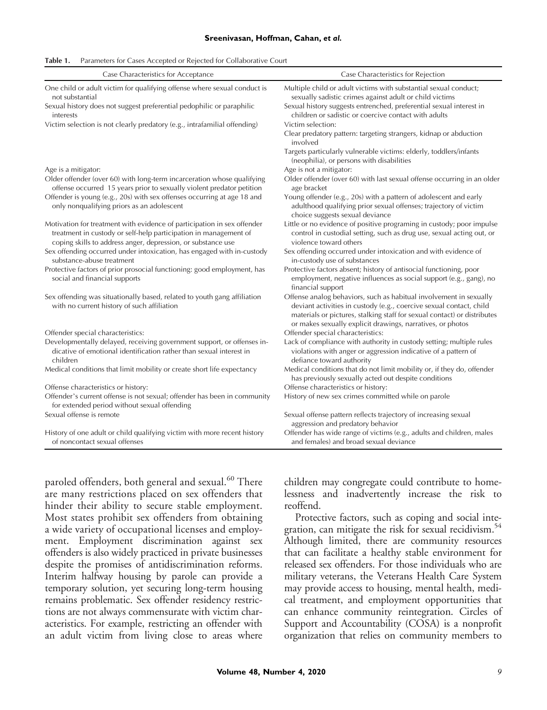#### **Sreenivasan, Hoffman, Cahan,** *et al.*

| <b>Table 1.</b> Parameters for Cases Accepted or Rejected for Collaborative Court |
|-----------------------------------------------------------------------------------|
|                                                                                   |

| Case Characteristics for Acceptance                                                                                                                                                                         | Case Characteristics for Rejection                                                                                                                                                                                                                                                  |  |
|-------------------------------------------------------------------------------------------------------------------------------------------------------------------------------------------------------------|-------------------------------------------------------------------------------------------------------------------------------------------------------------------------------------------------------------------------------------------------------------------------------------|--|
| One child or adult victim for qualifying offense where sexual conduct is<br>not substantial                                                                                                                 | Multiple child or adult victims with substantial sexual conduct;<br>sexually sadistic crimes against adult or child victims                                                                                                                                                         |  |
| Sexual history does not suggest preferential pedophilic or paraphilic<br>interests                                                                                                                          | Sexual history suggests entrenched, preferential sexual interest in<br>children or sadistic or coercive contact with adults                                                                                                                                                         |  |
| Victim selection is not clearly predatory (e.g., intrafamilial offending)                                                                                                                                   | Victim selection:                                                                                                                                                                                                                                                                   |  |
|                                                                                                                                                                                                             | Clear predatory pattern: targeting strangers, kidnap or abduction<br>involved                                                                                                                                                                                                       |  |
|                                                                                                                                                                                                             | Targets particularly vulnerable victims: elderly, toddlers/infants<br>(neophilia), or persons with disabilities                                                                                                                                                                     |  |
| Age is a mitigator:                                                                                                                                                                                         | Age is not a mitigator:                                                                                                                                                                                                                                                             |  |
| Older offender (over 60) with long-term incarceration whose qualifying<br>offense occurred 15 years prior to sexually violent predator petition                                                             | Older offender (over 60) with last sexual offense occurring in an older<br>age bracket                                                                                                                                                                                              |  |
| Offender is young (e.g., 20s) with sex offenses occurring at age 18 and<br>only nonqualifying priors as an adolescent                                                                                       | Young offender (e.g., 20s) with a pattern of adolescent and early<br>adulthood qualifying prior sexual offenses; trajectory of victim<br>choice suggests sexual deviance                                                                                                            |  |
| Motivation for treatment with evidence of participation in sex offender<br>treatment in custody or self-help participation in management of<br>coping skills to address anger, depression, or substance use | Little or no evidence of positive programing in custody; poor impulse<br>control in custodial setting, such as drug use, sexual acting out, or<br>violence toward others                                                                                                            |  |
| Sex offending occurred under intoxication, has engaged with in-custody<br>substance-abuse treatment                                                                                                         | Sex offending occurred under intoxication and with evidence of<br>in-custody use of substances                                                                                                                                                                                      |  |
| Protective factors of prior prosocial functioning: good employment, has<br>social and financial supports                                                                                                    | Protective factors absent; history of antisocial functioning, poor<br>employment, negative influences as social support (e.g., gang), no<br>financial support                                                                                                                       |  |
| Sex offending was situationally based, related to youth gang affiliation<br>with no current history of such affiliation                                                                                     | Offense analog behaviors, such as habitual involvement in sexually<br>deviant activities in custody (e.g., coercive sexual contact, child<br>materials or pictures, stalking staff for sexual contact) or distributes<br>or makes sexually explicit drawings, narratives, or photos |  |
| Offender special characteristics:                                                                                                                                                                           | Offender special characteristics:                                                                                                                                                                                                                                                   |  |
| Developmentally delayed, receiving government support, or offenses in-<br>dicative of emotional identification rather than sexual interest in<br>children                                                   | Lack of compliance with authority in custody setting; multiple rules<br>violations with anger or aggression indicative of a pattern of<br>defiance toward authority                                                                                                                 |  |
| Medical conditions that limit mobility or create short life expectancy                                                                                                                                      | Medical conditions that do not limit mobility or, if they do, offender<br>has previously sexually acted out despite conditions                                                                                                                                                      |  |
| Offense characteristics or history:                                                                                                                                                                         | Offense characteristics or history:                                                                                                                                                                                                                                                 |  |
| Offender's current offense is not sexual; offender has been in community<br>for extended period without sexual offending                                                                                    | History of new sex crimes committed while on parole                                                                                                                                                                                                                                 |  |
| Sexual offense is remote                                                                                                                                                                                    | Sexual offense pattern reflects trajectory of increasing sexual<br>aggression and predatory behavior                                                                                                                                                                                |  |
| History of one adult or child qualifying victim with more recent history<br>of noncontact sexual offenses                                                                                                   | Offender has wide range of victims (e.g., adults and children, males<br>and females) and broad sexual deviance                                                                                                                                                                      |  |

paroled offenders, both general and sexual.<sup>60</sup> There are many restrictions placed on sex offenders that hinder their ability to secure stable employment. Most states prohibit sex offenders from obtaining a wide variety of occupational licenses and employment. Employment discrimination against sex offenders is also widely practiced in private businesses despite the promises of antidiscrimination reforms. Interim halfway housing by parole can provide a temporary solution, yet securing long-term housing remains problematic. Sex offender residency restrictions are not always commensurate with victim characteristics. For example, restricting an offender with an adult victim from living close to areas where children may congregate could contribute to homelessness and inadvertently increase the risk to reoffend.

Protective factors, such as coping and social integration, can mitigate the risk for sexual recidivism.<sup>54</sup> Although limited, there are community resources that can facilitate a healthy stable environment for released sex offenders. For those individuals who are military veterans, the Veterans Health Care System may provide access to housing, mental health, medical treatment, and employment opportunities that can enhance community reintegration. Circles of Support and Accountability (COSA) is a nonprofit organization that relies on community members to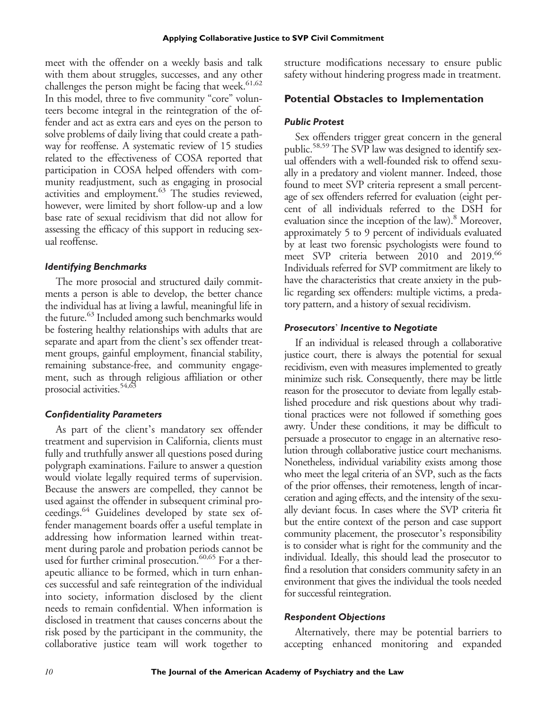meet with the offender on a weekly basis and talk with them about struggles, successes, and any other challenges the person might be facing that week. $61,62$ In this model, three to five community "core" volunteers become integral in the reintegration of the offender and act as extra ears and eyes on the person to solve problems of daily living that could create a pathway for reoffense. A systematic review of 15 studies related to the effectiveness of COSA reported that participation in COSA helped offenders with community readjustment, such as engaging in prosocial activities and employment.<sup>63</sup> The studies reviewed, however, were limited by short follow-up and a low base rate of sexual recidivism that did not allow for assessing the efficacy of this support in reducing sexual reoffense.

#### *Identifying Benchmarks*

The more prosocial and structured daily commitments a person is able to develop, the better chance the individual has at living a lawful, meaningful life in the future.<sup>63</sup> Included among such benchmarks would be fostering healthy relationships with adults that are separate and apart from the client's sex offender treatment groups, gainful employment, financial stability, remaining substance-free, and community engagement, such as through religious affiliation or other prosocial activities.<sup>54,63</sup>

#### *Confidentiality Parameters*

As part of the client's mandatory sex offender treatment and supervision in California, clients must fully and truthfully answer all questions posed during polygraph examinations. Failure to answer a question would violate legally required terms of supervision. Because the answers are compelled, they cannot be used against the offender in subsequent criminal proceedings.<sup>64</sup> Guidelines developed by state sex offender management boards offer a useful template in addressing how information learned within treatment during parole and probation periods cannot be used for further criminal prosecution.<sup>60,65</sup> For a therapeutic alliance to be formed, which in turn enhances successful and safe reintegration of the individual into society, information disclosed by the client needs to remain confidential. When information is disclosed in treatment that causes concerns about the risk posed by the participant in the community, the collaborative justice team will work together to

structure modifications necessary to ensure public safety without hindering progress made in treatment.

### **Potential Obstacles to Implementation**

#### *Public Protest*

Sex offenders trigger great concern in the general public.<sup>58,59</sup> The SVP law was designed to identify sexual offenders with a well-founded risk to offend sexually in a predatory and violent manner. Indeed, those found to meet SVP criteria represent a small percentage of sex offenders referred for evaluation (eight percent of all individuals referred to the DSH for evaluation since the inception of the law).<sup>8</sup> Moreover, approximately 5 to 9 percent of individuals evaluated by at least two forensic psychologists were found to meet SVP criteria between 2010 and 2019.<sup>66</sup> Individuals referred for SVP commitment are likely to have the characteristics that create anxiety in the public regarding sex offenders: multiple victims, a predatory pattern, and a history of sexual recidivism.

#### *Prosecutors*' *Incentive to Negotiate*

If an individual is released through a collaborative justice court, there is always the potential for sexual recidivism, even with measures implemented to greatly minimize such risk. Consequently, there may be little reason for the prosecutor to deviate from legally established procedure and risk questions about why traditional practices were not followed if something goes awry. Under these conditions, it may be difficult to persuade a prosecutor to engage in an alternative resolution through collaborative justice court mechanisms. Nonetheless, individual variability exists among those who meet the legal criteria of an SVP, such as the facts of the prior offenses, their remoteness, length of incarceration and aging effects, and the intensity of the sexually deviant focus. In cases where the SVP criteria fit but the entire context of the person and case support community placement, the prosecutor's responsibility is to consider what is right for the community and the individual. Ideally, this should lead the prosecutor to find a resolution that considers community safety in an environment that gives the individual the tools needed for successful reintegration.

#### *Respondent Objections*

Alternatively, there may be potential barriers to accepting enhanced monitoring and expanded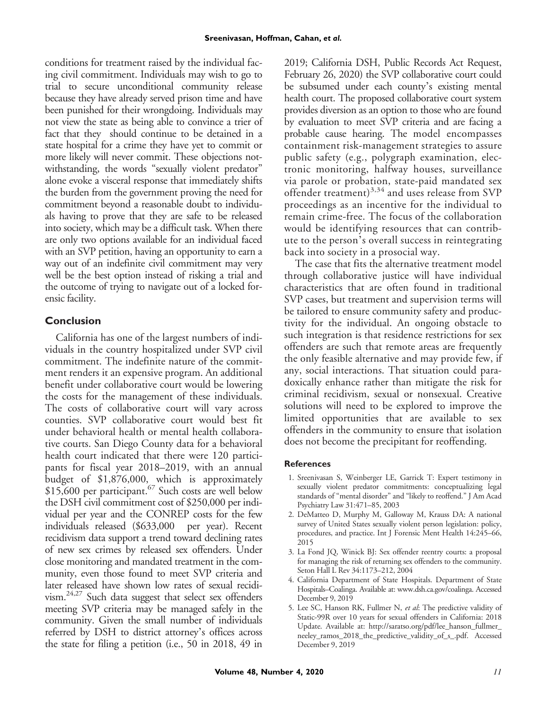conditions for treatment raised by the individual facing civil commitment. Individuals may wish to go to trial to secure unconditional community release because they have already served prison time and have been punished for their wrongdoing. Individuals may not view the state as being able to convince a trier of fact that they should continue to be detained in a state hospital for a crime they have yet to commit or more likely will never commit. These objections notwithstanding, the words "sexually violent predator" alone evoke a visceral response that immediately shifts the burden from the government proving the need for commitment beyond a reasonable doubt to individuals having to prove that they are safe to be released into society, which may be a difficult task. When there are only two options available for an individual faced with an SVP petition, having an opportunity to earn a way out of an indefinite civil commitment may very well be the best option instead of risking a trial and the outcome of trying to navigate out of a locked forensic facility.

## **Conclusion**

California has one of the largest numbers of individuals in the country hospitalized under SVP civil commitment. The indefinite nature of the commitment renders it an expensive program. An additional benefit under collaborative court would be lowering the costs for the management of these individuals. The costs of collaborative court will vary across counties. SVP collaborative court would best fit under behavioral health or mental health collaborative courts. San Diego County data for a behavioral health court indicated that there were 120 participants for fiscal year 2018–2019, with an annual budget of \$1,876,000, which is approximately \$15,600 per participant.<sup>67</sup> Such costs are well below the DSH civil commitment cost of \$250,000 per individual per year and the CONREP costs for the few individuals released (\$633,000 per year). Recent recidivism data support a trend toward declining rates of new sex crimes by released sex offenders. Under close monitoring and mandated treatment in the community, even those found to meet SVP criteria and later released have shown low rates of sexual recidivism.24,27 Such data suggest that select sex offenders meeting SVP criteria may be managed safely in the community. Given the small number of individuals referred by DSH to district attorney's offices across the state for filing a petition (i.e., 50 in 2018, 49 in

2019; California DSH, Public Records Act Request, February 26, 2020) the SVP collaborative court could be subsumed under each county's existing mental health court. The proposed collaborative court system provides diversion as an option to those who are found by evaluation to meet SVP criteria and are facing a probable cause hearing. The model encompasses containment risk-management strategies to assure public safety (e.g., polygraph examination, electronic monitoring, halfway houses, surveillance via parole or probation, state-paid mandated sex offender treatment) $3,34$  and uses release from SVP proceedings as an incentive for the individual to remain crime-free. The focus of the collaboration would be identifying resources that can contribute to the person's overall success in reintegrating back into society in a prosocial way.

The case that fits the alternative treatment model through collaborative justice will have individual characteristics that are often found in traditional SVP cases, but treatment and supervision terms will be tailored to ensure community safety and productivity for the individual. An ongoing obstacle to such integration is that residence restrictions for sex offenders are such that remote areas are frequently the only feasible alternative and may provide few, if any, social interactions. That situation could paradoxically enhance rather than mitigate the risk for criminal recidivism, sexual or nonsexual. Creative solutions will need to be explored to improve the limited opportunities that are available to sex offenders in the community to ensure that isolation does not become the precipitant for reoffending.

#### **References**

- 1. Sreenivasan S, Weinberger LE, Garrick T: Expert testimony in sexually violent predator commitments: conceptualizing legal standards of "mental disorder" and "likely to reoffend." J Am Acad Psychiatry Law 31:471–85, 2003
- 2. DeMatteo D, Murphy M, Galloway M, Krauss DA: A national survey of United States sexually violent person legislation: policy, procedures, and practice. Int J Forensic Ment Health 14:245–66, 2015
- 3. La Fond JQ, Winick BJ: Sex offender reentry courts: a proposal for managing the risk of returning sex offenders to the community. Seton Hall L Rev 34:1173–212, 2004
- 4. California Department of State Hospitals. Department of State Hospitals–Coalinga. Available at: [www.dsh.ca.gov/coalinga](http://www.dsh.ca.gov/coalinga). Accessed December 9, 2019
- 5. Lee SC, Hanson RK, Fullmer N, et al: The predictive validity of Static-99R over 10 years for sexual offenders in California: 2018 Update. Available at: [http://saratso.org/pdf/lee\\_hanson\\_fullmer\\_](http://saratso.org/pdf/lee_hanson_fullmer_neeley_ramos_2018_the_predictive_validity_of_s_.pdf) [neeley\\_ramos\\_2018\\_the\\_predictive\\_validity\\_of\\_s\\_.pdf.](http://saratso.org/pdf/lee_hanson_fullmer_neeley_ramos_2018_the_predictive_validity_of_s_.pdf) Accessed December 9, 2019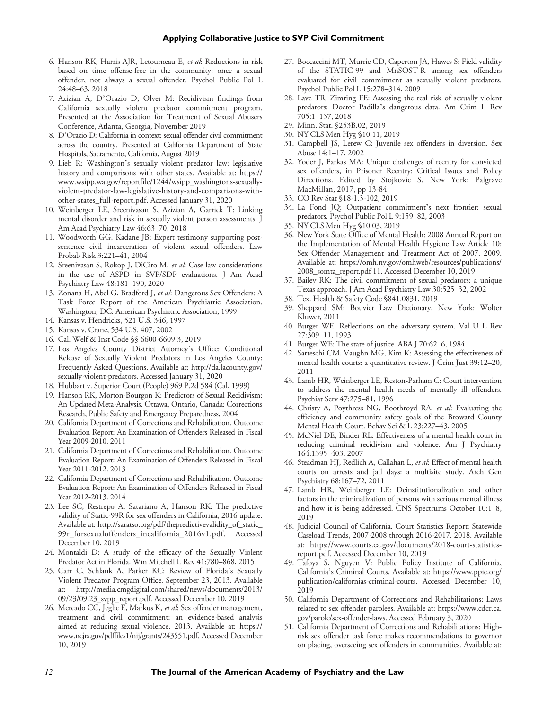#### **Applying Collaborative Justice to SVP Civil Commitment**

- 6. Hanson RK, Harris AJR, Letourneau E, et al: Reductions in risk based on time offense-free in the community: once a sexual offender, not always a sexual offender. Psychol Public Pol L 24:48–63, 2018
- 7. Azizian A, D'Orazio D, Olver M: Recidivism findings from California sexually violent predator commitment program. Presented at the Association for Treatment of Sexual Abusers Conference, Atlanta, Georgia, November 2019
- 8. D'Orazio D: California in context: sexual offender civil commitment across the country. Presented at California Department of State Hospitals, Sacramento, California, August 2019
- 9. Lieb R: Washington's sexually violent predator law: legislative history and comparisons with other states. Available at: [https://](https://www.wsipp.wa.gov/reportfile/1244/wsipp_washingtons-sexually-violent-predator-law-legislative-history-and-comparisons-with-other-states_full-report.pdf) [www.wsipp.wa.gov/reportfile/1244/wsipp\\_washingtons-sexually](https://www.wsipp.wa.gov/reportfile/1244/wsipp_washingtons-sexually-violent-predator-law-legislative-history-and-comparisons-with-other-states_full-report.pdf)[violent-predator-law-legislative-history-and-comparisons-with](https://www.wsipp.wa.gov/reportfile/1244/wsipp_washingtons-sexually-violent-predator-law-legislative-history-and-comparisons-with-other-states_full-report.pdf)[other-states\\_full-report.pdf.](https://www.wsipp.wa.gov/reportfile/1244/wsipp_washingtons-sexually-violent-predator-law-legislative-history-and-comparisons-with-other-states_full-report.pdf) Accessed January 31, 2020
- 10. Weinberger LE, Sreenivasan S, Azizian A, Garrick T: Linking mental disorder and risk in sexually violent person assessments. J Am Acad Psychiatry Law 46:63–70, 2018
- 11. Woodworth GG, Kadane JB: Expert testimony supporting postsentence civil incarceration of violent sexual offenders. Law Probab Risk 3:221–41, 2004
- 12. Sreenivasan S, Rokop J, DiCiro M, et al: Case law considerations in the use of ASPD in SVP/SDP evaluations. J Am Acad Psychiatry Law 48:181–190, 2020
- 13. Zonana H, Abel G, Bradford J, et al: Dangerous Sex Offenders: A Task Force Report of the American Psychiatric Association. Washington, DC: American Psychiatric Association, 1999
- 14. Kansas v. Hendricks, 521 U.S. 346, 1997
- 15. Kansas v. Crane, 534 U.S. 407, 2002
- 16. Cal. Welf & Inst Code §§ 6600-6609.3, 2019
- 17. Los Angeles County District Attorney's Office: Conditional Release of Sexually Violent Predators in Los Angeles County: Frequently Asked Questions. Available at: [http://da.lacounty.gov/](http://da.lacounty.gov/sexually-violent-predators) [sexually-violent-predators.](http://da.lacounty.gov/sexually-violent-predators) Accessed January 31, 2020
- 18. Hubbart v. Superior Court (People) 969 P.2d 584 (Cal, 1999)
- 19. Hanson RK, Morton-Bourgon K: Predictors of Sexual Recidivism: An Updated Meta-Analysis. Ottawa, Ontario, Canada: Corrections Research, Public Safety and Emergency Preparedness, 2004
- 20. California Department of Corrections and Rehabilitation. Outcome Evaluation Report: An Examination of Offenders Released in Fiscal Year 2009-2010. 2011
- 21. California Department of Corrections and Rehabilitation. Outcome Evaluation Report: An Examination of Offenders Released in Fiscal Year 2011-2012. 2013
- 22. California Department of Corrections and Rehabilitation. Outcome Evaluation Report: An Examination of Offenders Released in Fiscal Year 2012-2013. 2014
- 23. Lee SC, Restrepo A, Satariano A, Hanson RK: The predictive validity of Static-99R for sex offenders in California, 2016 update. Available at: [http://saratso.org/pdf/thepredictivevalidity\\_of\\_static\\_](http://saratso.org/pdf/thepredictivevalidity_of_static_99r_forsexualoffenders_incalifornia_2016v1.pdf) [99r\\_forsexualoffenders\\_incalifornia\\_2016v1.pdf.](http://saratso.org/pdf/thepredictivevalidity_of_static_99r_forsexualoffenders_incalifornia_2016v1.pdf) Accessed December 10, 2019
- 24. Montaldi D: A study of the efficacy of the Sexually Violent Predator Act in Florida. Wm Mitchell L Rev 41:780–868, 2015
- 25. Carr C, Schlank A, Parker KC: Review of Florida's Sexually Violent Predator Program Office. September 23, 2013. Available at: [http://media.cmgdigital.com/shared/news/documents/2013/](http://media.cmgdigital.com/shared/news/documents/2013/09/23/09.23_svpp_report.pdf) [09/23/09.23\\_svpp\\_report.pdf.](http://media.cmgdigital.com/shared/news/documents/2013/09/23/09.23_svpp_report.pdf) Accessed December 10, 2019
- 26. Mercado CC, Jeglic E, Markus K, et al: Sex offender management, treatment and civil commitment: an evidence-based analysis aimed at reducing sexual violence. 2013. Available at: [https://](https://www.ncjrs.gov/pdffiles1/nij/grants/243551.pdf) [www.ncjrs.gov/pdffiles1/nij/grants/243551.pdf](https://www.ncjrs.gov/pdffiles1/nij/grants/243551.pdf). Accessed December 10, 2019
- 27. Boccaccini MT, Murrie CD, Caperton JA, Hawes S: Field validity of the STATIC-99 and MnSOST-R among sex offenders evaluated for civil commitment as sexually violent predators. Psychol Public Pol L 15:278–314, 2009
- 28. Lave TR, Zimring FE: Assessing the real risk of sexually violent predators: Doctor Padilla's dangerous data. Am Crim L Rev 705:1–137, 2018
- 29. Minn. Stat. §253B.02, 2019
- 30. NY CLS Men Hyg §10.11, 2019
- 31. Campbell JS, Lerew C: Juvenile sex offenders in diversion. Sex Abuse 14:1–17, 2002
- 32. Yoder J, Farkas MA: Unique challenges of reentry for convicted sex offenders, in Prisoner Reentry: Critical Issues and Policy Directions. Edited by Stojkovic S. New York: Palgrave MacMillan, 2017, pp 13-84
- 33. CO Rev Stat §18-1.3-102, 2019
- 34. La Fond JQ: Outpatient commitment's next frontier: sexual predators. Psychol Public Pol L 9:159–82, 2003
- 35. NY CLS Men Hyg §10.03, 2019
- 36. New York State Office of Mental Health: 2008 Annual Report on the Implementation of Mental Health Hygiene Law Article 10: Sex Offender Management and Treatment Act of 2007. 2009. Available at: [https://omh.ny.gov/omhweb/resources/publications/](https://omh.ny.gov/omhweb/resources/publications/2008_somta_report.pdf 11) [2008\\_somta\\_report.pdf 11](https://omh.ny.gov/omhweb/resources/publications/2008_somta_report.pdf 11). Accessed December 10, 2019
- 37. Bailey RK: The civil commitment of sexual predators: a unique Texas approach. J Am Acad Psychiatry Law 30:525–32, 2002
- 38. Tex. Health & Safety Code §841.0831, 2019
- 39. Sheppard SM: Bouvier Law Dictionary. New York: Wolter Kluwer, 2011
- 40. Burger WE: Reflections on the adversary system. Val U L Rev 27:309–11, 1993
- 41. Burger WE: The state of justice. ABA J 70:62–6, 1984
- 42. Sarteschi CM, Vaughn MG, Kim K: Assessing the effectiveness of mental health courts: a quantitative review. J Crim Just 39:12–20, 2011
- 43. Lamb HR, Weinberger LE, Reston-Parham C: Court intervention to address the mental health needs of mentally ill offenders. Psychiat Serv 47:275–81, 1996
- 44. Christy A, Poythress NG, Boothroyd RA, et al: Evaluating the efficiency and community safety goals of the Broward County Mental Health Court. Behav Sci & L 23:227–43, 2005
- 45. McNiel DE, Binder RL: Effectiveness of a mental health court in reducing criminal recidivism and violence. Am J Psychiatry 164:1395–403, 2007
- 46. Steadman HJ, Redlich A, Callahan L, et al: Effect of mental health courts on arrests and jail days: a multisite study. Arch Gen Psychiatry 68:167–72, 2011
- 47. Lamb HR, Weinberger LE: Deinstitutionalization and other factors in the criminalization of persons with serious mental illness and how it is being addressed. CNS Spectrums October 10:1–8, 2019
- 48. Judicial Council of California. Court Statistics Report: Statewide Caseload Trends, 2007-2008 through 2016-2017. 2018. Available at: [https://www.courts.ca.gov/documents/2018-court-statistics](https://www.courts.ca.gov/documents/2018-court-statistics-report.pdf)[report.pdf.](https://www.courts.ca.gov/documents/2018-court-statistics-report.pdf) Accessed December 10, 2019
- 49. Tafoya S, Nguyen V: Public Policy Institute of California, California's Criminal Courts. Available at: [https://www.ppic.org/](https://www.ppic.org/publication/californias-criminal-courts) [publication/californias-criminal-courts](https://www.ppic.org/publication/californias-criminal-courts). Accessed December 10, 2019
- 50. California Department of Corrections and Rehabilitations: Laws related to sex offender parolees. Available at: [https://www.cdcr.ca.](https://www.cdcr.ca.gov/parole/sex-offender-laws) [gov/parole/sex-offender-laws.](https://www.cdcr.ca.gov/parole/sex-offender-laws) Accessed February 3, 2020
- 51. California Department of Corrections and Rehabilitations: Highrisk sex offender task force makes recommendations to governor on placing, overseeing sex offenders in communities. Available at: